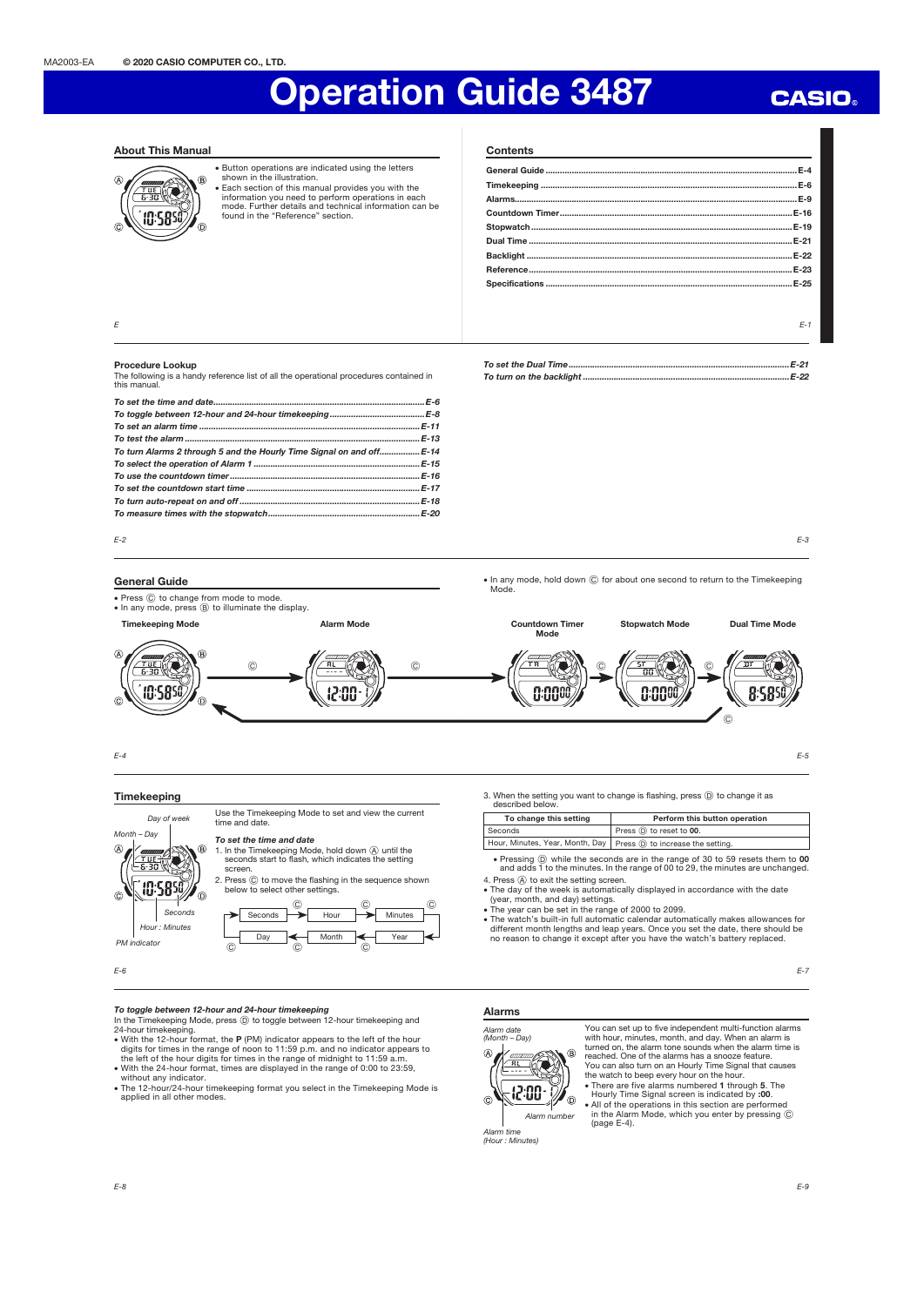# Operation Guide 3487

### About This Manual



x Button operations are indicated using the letters shown in the illustration. Each section of this manual provides you with the

information you need to perform operations in each mode. Further details and technical information can be found in the "Reference" section.

| <b>Contents</b><br>the control of the control of the control of the control of the control of the control of the control of the control of the control of the control of the control of the control of the control of the control of the control |        |
|--------------------------------------------------------------------------------------------------------------------------------------------------------------------------------------------------------------------------------------------------|--------|
|                                                                                                                                                                                                                                                  |        |
|                                                                                                                                                                                                                                                  |        |
|                                                                                                                                                                                                                                                  |        |
|                                                                                                                                                                                                                                                  |        |
|                                                                                                                                                                                                                                                  | E-19   |
|                                                                                                                                                                                                                                                  | $E-21$ |
|                                                                                                                                                                                                                                                  |        |
|                                                                                                                                                                                                                                                  | $E-23$ |
|                                                                                                                                                                                                                                                  |        |
|                                                                                                                                                                                                                                                  |        |
|                                                                                                                                                                                                                                                  |        |
|                                                                                                                                                                                                                                                  | $F-1$  |

To set the Dual Time .............................................................................................E-21 To turn on the backlight .......................................................................................E-22

### E

### Procedure Lookup

The following is a handy reference list of all the operational procedures contained in this manual.

| To turn Alarms 2 through 5 and the Hourly Time Signal on and off E-14 |  |
|-----------------------------------------------------------------------|--|
|                                                                       |  |
|                                                                       |  |
|                                                                       |  |
|                                                                       |  |
|                                                                       |  |

E-3

**CASIO** 

## E-2



### Timekeeping

∦oe-a IN:SR

Month – Day

 $\circledR$ 

 $\widehat{c}$ 

Day of week

Use the Timekeeping Mode to set and view the current time and date.

## To set the time and date

1. In the Timekeeping Mode, hold down  $\overline{A}$  until the seconds start to flash, which indicates the setting screen.





E-6

PM indicator

### To toggle between 12-hour and 24-hour timekeeping

In the Timekeeping Mode, press  $\circledD$  to toggle between 12-hour timekeeping and

- 24-hour timekeeping.<br>• With the 12-hour format, the **P** (PM) indicator appears to the left of the hour<br>• digits for times in the range of noon to 11:59 p.m. and no indicator appears to<br>the left of the hour digits for times
- without any indicator.
- x The 12-hour/24-hour timekeeping format you select in the Timekeeping Mode is applied in all other modes.



Alarm time<br>(Hour : Minutes)

You can set up to five independent multi-function alarms with hour, minutes, month, and day. When an alarm is turned on, the alarm tone sounds when the alarm time is reached. One of the alarms has a snooze feature. You can also turn on an Hourly Time Signal that causes the watch to beep every hour on the hour. • There are five alarms numbered 1 through 5. The Hourly Time Signal screen is indicated by :00. x All of the operations in this section are performed in the Alarm Mode, which you enter by pressing C (page E-4).

3. When the setting you want to change is flashing, press  $\circledcirc$  to change it as described below. To change this setting Perform this button operation

• Pressing  $\circled{D}$  while the seconds are in the range of 30 to 59 resets them to 00 and adds 1 to the minutes. In the range of 00 to 29, the minutes are unchanged.

• The day of the week is automatically displayed in accordance with the date

The watch's built-in full automatic calendar automatically makes allowances for different month lengths and leap years. Once you set the date, there should be<br>in the different month lengths and leap years. Once you set the

Seconds Press  $\overline{\mathbb{D}}$  to reset to 00. Hour, Minutes, Year, Month, Day Press  $\textcircled{\tiny{D}}$  to increase the setting

(year, month, and day) settings. x The year can be set in the range of 2000 to 2099.

4. Press (A) to exit the setting screen.

E-9

E-7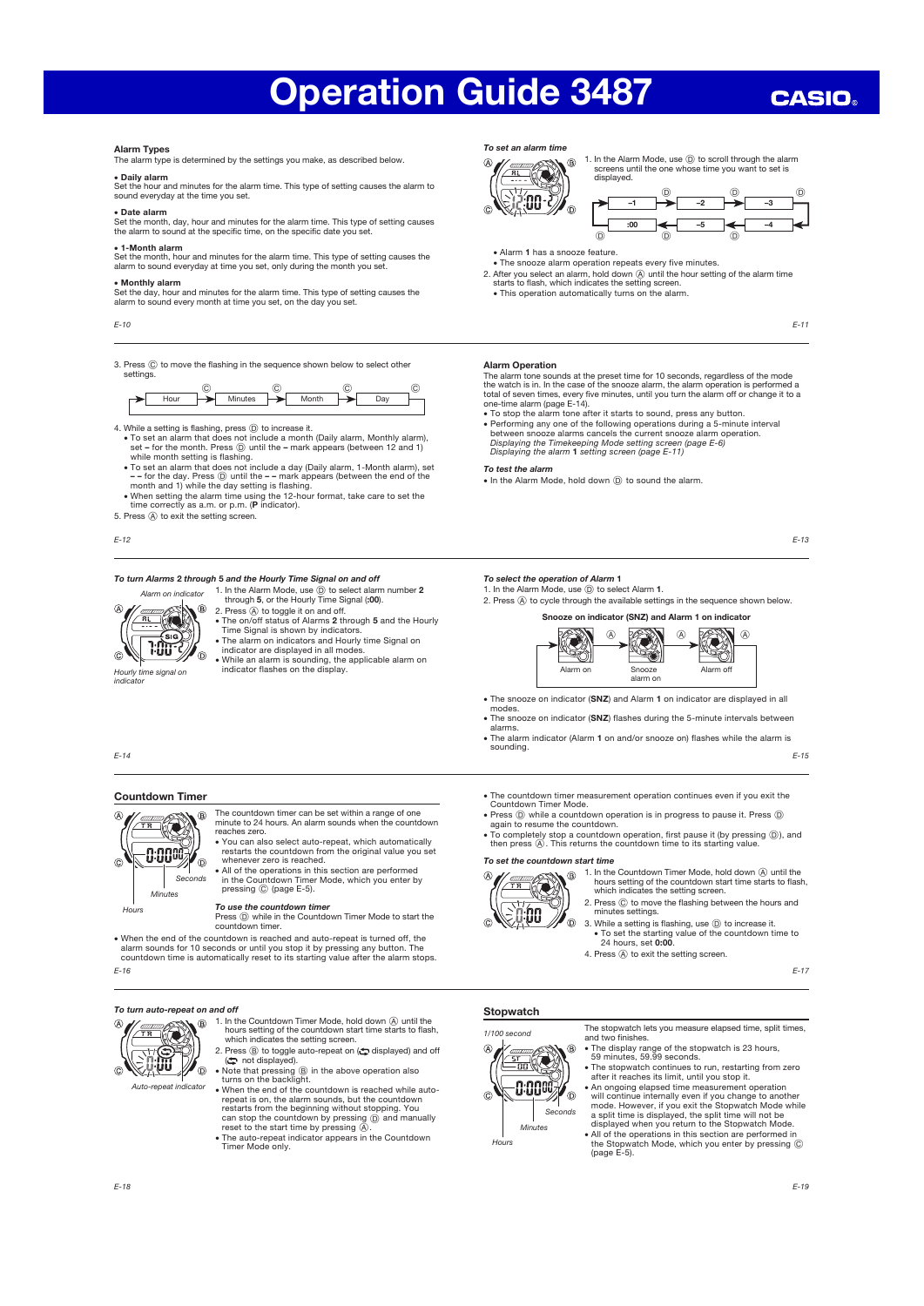# Operation Guide 3487

## **CASIO**

### Alarm Types

The alarm type is determined by the settings you make, as described below.

x Daily alarm Set the hour and minutes for the alarm time. This type of setting causes the alarm to sound everyday at the time you set.

x Date alarm Set the month, day, hour and minutes for the alarm time. This type of setting causes the alarm to sound at the specific time, on the specific date you set.

### x 1-Month alarm

Set the month, hour and minutes for the alarm time. This type of setting causes the alarm to sound everyday at time you set, only during the month you set.

### x Monthly alarm

Set the day, hour and minutes for the alarm time. This type of setting causes the alarm to sound every month at time you set, on the day you set.

E-10

3. Press  $\copyright$  to move the flashing in the sequence shown below to select other settings.



- 4. While a setting is flashing, press  $(D)$  to increase it.
	- To set an alarm that does not include a month (Daily alarm, Monthly alarm), set for the month. Press ⓒ until the mark appears (between 12 and 1) while month setting is flashing.<br>
	 To set an alarm that does not incl
	- - for the day. Press  $\textcircled{)}$  until the - mark appears (between the end of the month and 1) while the day setting is flashing.<br>
	 When setting the alarm time using the 12-hour format, take care to set the <br>
	 When set
- 
- 5. Press  $\textcircled{A}$  to exit the setting screen.

E-12

E-14

### To turn Alarms 2 through 5 and the Hourly Time Signal on and off

1. In the Alarm Mode, use  $\circled{D}$  to select alarm number 2 through 5, or the Hourly Time Signal (:00).  $\circledR$ 2. Press (A) to toggle it on and off.



- The on/off status of Alarms 2 through 5 and the Hourly Time Signal is shown by indicators.
- The alarm on indicators and Hourly time Signal on

indicator

**indicator are displayed in all modes.**<br>Hourly time signal on indicator flashes on the display. the applicable alarm on<br>Hourly time signal on

### To set an alarm time



1. In the Alarm Mode, use  $\circledcirc$  to scroll through the alarm<br>screens until the one whose time you want to set is<br>displayed.



- Alarm 1 has a snooze feature • The snooze alarm operation repeats every five minutes.
- 
- 2. After you select an alarm, hold down  $\circledA$  until the hour setting of the alarm time starts to flash, which indicates the setting screen. • This operation automatically turns on the alarm.
	- E-11

### Alarm Operation

The alarm tone sounds at the preset time for 10 seconds, regardless of the mode<br>the watch is in In the case of the snooze alarm, the alarm operation is performed a the watch is in. In the case of the snooze alarm, the alarm operation is perform

total of seven times, every five minutes, until you turn the alarm off or change it to a<br>one-time alarm (page E-14).<br>• To stop the alarm tone after it starts to sound, press any button.<br>• Performing any one of the followin Displaying the Timekeeping Mode setting screen (page E-6) Displaying the alarm 1 setting screen (page E-11)

### To test the alarm

• In the Alarm Mode, hold down  $\overline{D}$  to sound the alarm.

E-13

**To select the operation of Alarm 1**<br>1. In the Alarm Mode, use  $\textcircled{D}$  to select Alarm 1.

2. Press (A) to cycle through the available settings in the sequence shown below.



- The snooze on indicator (SNZ) and Alarm 1 on indicator are displayed in all
- modes.<br>• The snooze on indicator (SNZ) flashes during the 5-minute intervals between alarms.
- **The alarm indicator (Alarm 1 on and/or snooze on) flashes while the alarm is** sounding.

E-15

## Countdown Timer



- The countdown timer can be set within a range of one minute to 24 hours. An alarm sounds when the countdown reaches zero.
- x You can also select auto-repeat, which automatically
	- restarts the countdown from the original value you set<br>whenever zero is reached.<br>All of the operations in this section are performed<br>in the Countdown Timer Mode, which you enter by<br>pressing © (page E-5).

### To use the countdown timer

Press  $\textcircled{\tiny{D}}$  while in the Countdown Timer Mode to start the countdown timer.

Nhen the end of the countdown is reached and auto-repeat is turned off, the alarm sounds for 10 seconds or until you stop found for the countdown. The countdown the countdown for countdown the countdown of countdown and c

E-16

### To turn auto-repeat on and off

Auto-repeat in

- $\overline{B}$ 1. In the Countdown Timer Mode, hold down  $\overline{A}$  until the hours setting of the countdown start time starts to flash, which indicates the setting screen.
	- 2. Press  $\circledcirc$  to toggle auto-repeat on ( $\bullet$  displayed) and off  $\circledcirc$  not displayed).<br>
	 Note that pressing  $\circledcirc$  in the above operation also<br>
	 turns on the backlight.  $\overline{\mathbb{O}}$ 
		- When the end of the countdown is reached while autorepeat is on, the alarm sounds, but the countdown<br>restarts from the beginning without stopping. You<br>can stop the countdown by pressing  $(\overline{\textbf{Q}})$  and manually<br>reset to the start time by pressing  $(\overline{\textbf{A}})$ .
		- The auto-repeat indicator appears in the Countdown Timer Mode only.

## ● The countdown timer measurement operation continues even if you exit the<br>Countdown Timer Mode.<br>● Press ⓪ while a countdown operation is in progress to pause it. Press ⓪

- again to resume the countdown.
- To completely stop a countdown operation, first pause it (by pressing  $(\mathbb{D})$ ), and then press  $(\mathbb{A})$ . This returns the countdown time to its starting value.



- 1. In the Countdown Timer Mode, hold down (A) until the hours setting of the countdown start time starts to flash, which indicates the setting screen.
- 2. Press  $\copyright$  to move the flashing between the hours and minutes settings.
- 3. While a setting is flashing, use  $<sup>1</sup>$  to increase it.</sup> x To set the starting value of the countdown time to 24 hours, set 0:00.
- 4. Press (A) to exit the setting screen.

E-17

### Stopwatch

**Hours** 

 $\overline{A}$ 

ര



The stopwatch lets you measure elapsed time, split times, and two finishes.

- x The display range of the stopwatch is 23 hours, 59 minutes, 59.99 seconds.
- The stopwatch continues to run, restarting from zero
- after it reaches its limit, until you stop it.<br>• An ongoing elapsed time measurement operation<br>will continue internally even if you change to another<br>mode. However, if you exit the Stopwatch Mode while<br>a split time is disp
- x All of the operations in this section are performed in the Stopwatch Mode, which you enter by pressing C (page E-5).

 $\overline{a}$ 

E-19